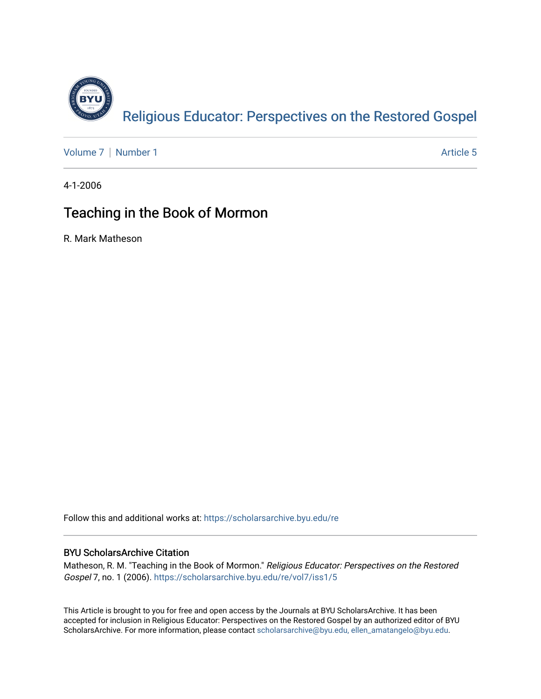

[Volume 7](https://scholarsarchive.byu.edu/re/vol7) | [Number 1](https://scholarsarchive.byu.edu/re/vol7/iss1) Article 5

4-1-2006

# Teaching in the Book of Mormon

R. Mark Matheson

Follow this and additional works at: [https://scholarsarchive.byu.edu/re](https://scholarsarchive.byu.edu/re?utm_source=scholarsarchive.byu.edu%2Fre%2Fvol7%2Fiss1%2F5&utm_medium=PDF&utm_campaign=PDFCoverPages)

# BYU ScholarsArchive Citation

Matheson, R. M. "Teaching in the Book of Mormon." Religious Educator: Perspectives on the Restored Gospel 7, no. 1 (2006). [https://scholarsarchive.byu.edu/re/vol7/iss1/5](https://scholarsarchive.byu.edu/re/vol7/iss1/5?utm_source=scholarsarchive.byu.edu%2Fre%2Fvol7%2Fiss1%2F5&utm_medium=PDF&utm_campaign=PDFCoverPages) 

This Article is brought to you for free and open access by the Journals at BYU ScholarsArchive. It has been accepted for inclusion in Religious Educator: Perspectives on the Restored Gospel by an authorized editor of BYU ScholarsArchive. For more information, please contact [scholarsarchive@byu.edu, ellen\\_amatangelo@byu.edu.](mailto:scholarsarchive@byu.edu,%20ellen_amatangelo@byu.edu)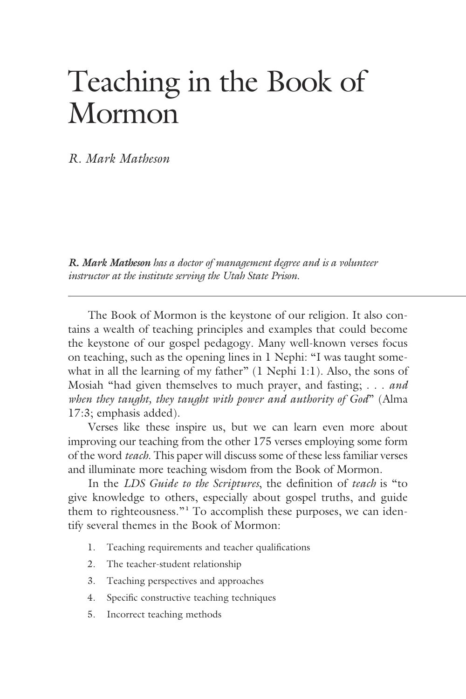# Teaching in the Book of Mormon

*R. Mark Matheson*

*R. Mark Matheson has a doctor of management degree and is a volunteer instructor at the institute serving the Utah State Prison.*

 The Book of Mormon is the keystone of our religion. It also contains a wealth of teaching principles and examples that could become the keystone of our gospel pedagogy. Many well-known verses focus on teaching, such as the opening lines in 1 Nephi: "I was taught somewhat in all the learning of my father" (1 Nephi 1:1). Also, the sons of Mosiah "had given themselves to much prayer, and fasting; . . . *and when they taught, they taught with power and authority of God*" (Alma 17:3; emphasis added).

 Verses like these inspire us, but we can learn even more about improving our teaching from the other 175 verses employing some form of the word *teach*. This paper will discuss some of these less familiar verses and illuminate more teaching wisdom from the Book of Mormon.

 In the *LDS Guide to the Scriptures*, the definition of *teach* is "to give knowledge to others, especially about gospel truths, and guide them to righteousness."**<sup>1</sup>** To accomplish these purposes, we can identify several themes in the Book of Mormon:

- 1. Teaching requirements and teacher qualifications
- 2. The teacher-student relationship
- 3. Teaching perspectives and approaches
- 4. Specific constructive teaching techniques
- 5. Incorrect teaching methods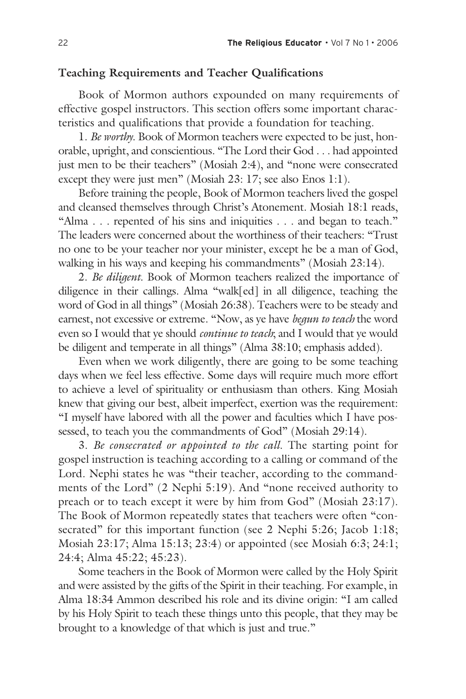# **Teaching Requirements and Teacher Qualifications**

 Book of Mormon authors expounded on many requirements of effective gospel instructors. This section offers some important characteristics and qualifications that provide a foundation for teaching.

 1. *Be worthy*. Book of Mormon teachers were expected to be just, honorable, upright, and conscientious. "The Lord their God . . . had appointed just men to be their teachers" (Mosiah 2:4), and "none were consecrated except they were just men" (Mosiah 23: 17; see also Enos 1:1).

 Before training the people, Book of Mormon teachers lived the gospel and cleansed themselves through Christ's Atonement. Mosiah 18:1 reads, "Alma . . . repented of his sins and iniquities . . . and began to teach." The leaders were concerned about the worthiness of their teachers: "Trust no one to be your teacher nor your minister, except he be a man of God, walking in his ways and keeping his commandments" (Mosiah 23:14).

 2. *Be diligent*. Book of Mormon teachers realized the importance of diligence in their callings. Alma "walk[ed] in all diligence, teaching the word of God in all things" (Mosiah 26:38). Teachers were to be steady and earnest, not excessive or extreme. "Now, as ye have *begun to teach* the word even so I would that ye should *continue to teach*; and I would that ye would be diligent and temperate in all things" (Alma 38:10; emphasis added).

 Even when we work diligently, there are going to be some teaching days when we feel less effective. Some days will require much more effort to achieve a level of spirituality or enthusiasm than others. King Mosiah knew that giving our best, albeit imperfect, exertion was the requirement: "I myself have labored with all the power and faculties which I have possessed, to teach you the commandments of God" (Mosiah 29:14).

 3. *Be consecrated or appointed to the call*. The starting point for gospel instruction is teaching according to a calling or command of the Lord. Nephi states he was "their teacher, according to the commandments of the Lord" (2 Nephi 5:19). And "none received authority to preach or to teach except it were by him from God" (Mosiah 23:17). The Book of Mormon repeatedly states that teachers were often "consecrated" for this important function (see 2 Nephi 5:26; Jacob 1:18; Mosiah 23:17; Alma 15:13; 23:4) or appointed (see Mosiah 6:3; 24:1; 24:4; Alma 45:22; 45:23).

 Some teachers in the Book of Mormon were called by the Holy Spirit and were assisted by the gifts of the Spirit in their teaching. For example, in Alma 18:34 Ammon described his role and its divine origin: "I am called by his Holy Spirit to teach these things unto this people, that they may be brought to a knowledge of that which is just and true."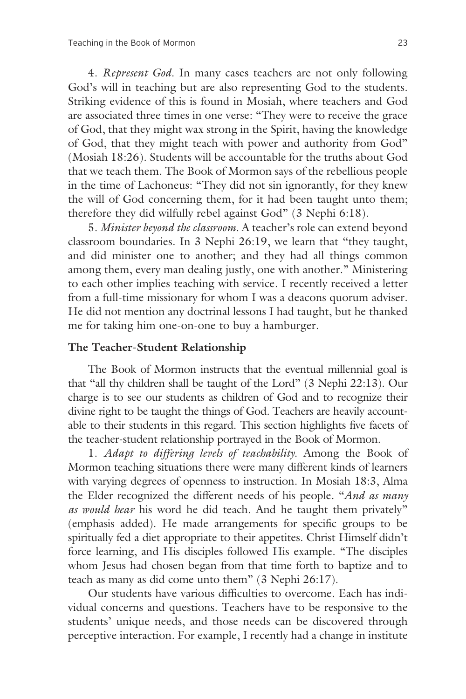4. *Represent God*. In many cases teachers are not only following God's will in teaching but are also representing God to the students. Striking evidence of this is found in Mosiah, where teachers and God are associated three times in one verse: "They were to receive the grace of God, that they might wax strong in the Spirit, having the knowledge of God, that they might teach with power and authority from God" (Mosiah 18:26). Students will be accountable for the truths about God that we teach them. The Book of Mormon says of the rebellious people in the time of Lachoneus: "They did not sin ignorantly, for they knew the will of God concerning them, for it had been taught unto them; therefore they did wilfully rebel against God" (3 Nephi 6:18).

 5. *Minister beyond the classroom*. A teacher's role can extend beyond classroom boundaries. In 3 Nephi 26:19, we learn that "they taught, and did minister one to another; and they had all things common among them, every man dealing justly, one with another." Ministering to each other implies teaching with service. I recently received a letter from a full-time missionary for whom I was a deacons quorum adviser. He did not mention any doctrinal lessons I had taught, but he thanked me for taking him one-on-one to buy a hamburger.

#### **The Teacher-Student Relationship**

 The Book of Mormon instructs that the eventual millennial goal is that "all thy children shall be taught of the Lord" (3 Nephi 22:13). Our charge is to see our students as children of God and to recognize their divine right to be taught the things of God. Teachers are heavily accountable to their students in this regard. This section highlights five facets of the teacher-student relationship portrayed in the Book of Mormon.

 1. *Adapt to differing levels of teachability*. Among the Book of Mormon teaching situations there were many different kinds of learners with varying degrees of openness to instruction. In Mosiah 18:3, Alma the Elder recognized the different needs of his people. "*And as many as would hear* his word he did teach. And he taught them privately" (emphasis added). He made arrangements for specific groups to be spiritually fed a diet appropriate to their appetites. Christ Himself didn't force learning, and His disciples followed His example. "The disciples whom Jesus had chosen began from that time forth to baptize and to teach as many as did come unto them" (3 Nephi 26:17).

 Our students have various difficulties to overcome. Each has individual concerns and questions. Teachers have to be responsive to the students' unique needs, and those needs can be discovered through perceptive interaction. For example, I recently had a change in institute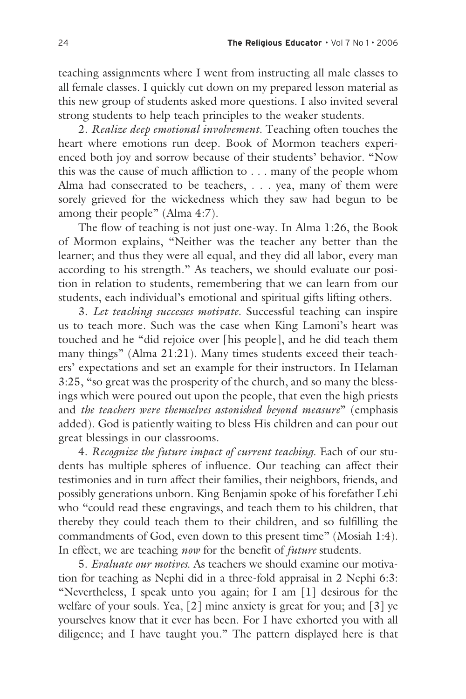teaching assignments where I went from instructing all male classes to all female classes. I quickly cut down on my prepared lesson material as this new group of students asked more questions. I also invited several strong students to help teach principles to the weaker students.

 2. *Realize deep emotional involvement*. Teaching often touches the heart where emotions run deep. Book of Mormon teachers experienced both joy and sorrow because of their students' behavior. "Now this was the cause of much affliction to . . . many of the people whom Alma had consecrated to be teachers, . . . yea, many of them were sorely grieved for the wickedness which they saw had begun to be among their people" (Alma 4:7).

 The flow of teaching is not just one-way. In Alma 1:26, the Book of Mormon explains, "Neither was the teacher any better than the learner; and thus they were all equal, and they did all labor, every man according to his strength." As teachers, we should evaluate our position in relation to students, remembering that we can learn from our students, each individual's emotional and spiritual gifts lifting others.

 3. *Let teaching successes motivate*. Successful teaching can inspire us to teach more. Such was the case when King Lamoni's heart was touched and he "did rejoice over [his people], and he did teach them many things" (Alma 21:21). Many times students exceed their teachers' expectations and set an example for their instructors. In Helaman 3:25, "so great was the prosperity of the church, and so many the blessings which were poured out upon the people, that even the high priests and *the teachers were themselves astonished beyond measure*" (emphasis added). God is patiently waiting to bless His children and can pour out great blessings in our classrooms.

 4. *Recognize the future impact of current teaching*. Each of our students has multiple spheres of influence. Our teaching can affect their testimonies and in turn affect their families, their neighbors, friends, and possibly generations unborn. King Benjamin spoke of his forefather Lehi who "could read these engravings, and teach them to his children, that thereby they could teach them to their children, and so fulfilling the commandments of God, even down to this present time" (Mosiah 1:4). In effect, we are teaching *now* for the benefit of *future* students.

 5. *Evaluate our motives*. As teachers we should examine our motivation for teaching as Nephi did in a three-fold appraisal in 2 Nephi 6:3: "Nevertheless, I speak unto you again; for I am [1] desirous for the welfare of your souls. Yea, [2] mine anxiety is great for you; and [3] ye yourselves know that it ever has been. For I have exhorted you with all diligence; and I have taught you." The pattern displayed here is that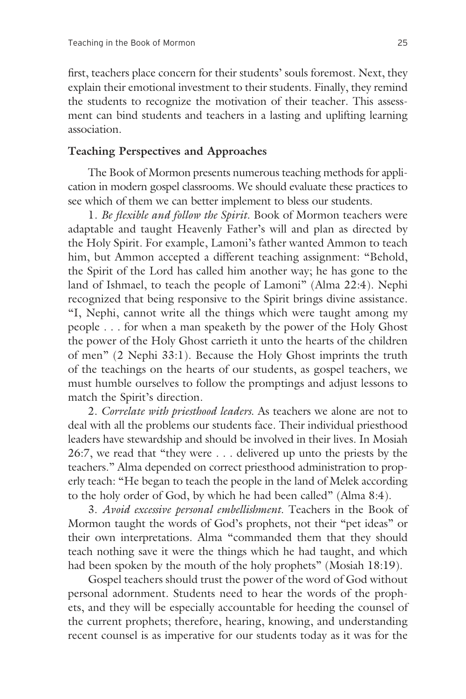first, teachers place concern for their students' souls foremost. Next, they explain their emotional investment to their students. Finally, they remind the students to recognize the motivation of their teacher. This assessment can bind students and teachers in a lasting and uplifting learning association.

## **Teaching Perspectives and Approaches**

 The Book of Mormon presents numerous teaching methods for application in modern gospel classrooms. We should evaluate these practices to see which of them we can better implement to bless our students.

 1. *Be flexible and follow the Spirit*. Book of Mormon teachers were adaptable and taught Heavenly Father's will and plan as directed by the Holy Spirit. For example, Lamoni's father wanted Ammon to teach him, but Ammon accepted a different teaching assignment: "Behold, the Spirit of the Lord has called him another way; he has gone to the land of Ishmael, to teach the people of Lamoni" (Alma 22:4). Nephi recognized that being responsive to the Spirit brings divine assistance. "I, Nephi, cannot write all the things which were taught among my people . . . for when a man speaketh by the power of the Holy Ghost the power of the Holy Ghost carrieth it unto the hearts of the children of men" (2 Nephi 33:1). Because the Holy Ghost imprints the truth of the teachings on the hearts of our students, as gospel teachers, we must humble ourselves to follow the promptings and adjust lessons to match the Spirit's direction.

 2. *Correlate with priesthood leaders*. As teachers we alone are not to deal with all the problems our students face. Their individual priesthood leaders have stewardship and should be involved in their lives. In Mosiah 26:7, we read that "they were . . . delivered up unto the priests by the teachers." Alma depended on correct priesthood administration to properly teach: "He began to teach the people in the land of Melek according to the holy order of God, by which he had been called" (Alma 8:4).

 3. *Avoid excessive personal embellishment*. Teachers in the Book of Mormon taught the words of God's prophets, not their "pet ideas" or their own interpretations. Alma "commanded them that they should teach nothing save it were the things which he had taught, and which had been spoken by the mouth of the holy prophets" (Mosiah 18:19).

 Gospel teachers should trust the power of the word of God without personal adornment. Students need to hear the words of the prophets, and they will be especially accountable for heeding the counsel of the current prophets; therefore, hearing, knowing, and understanding recent counsel is as imperative for our students today as it was for the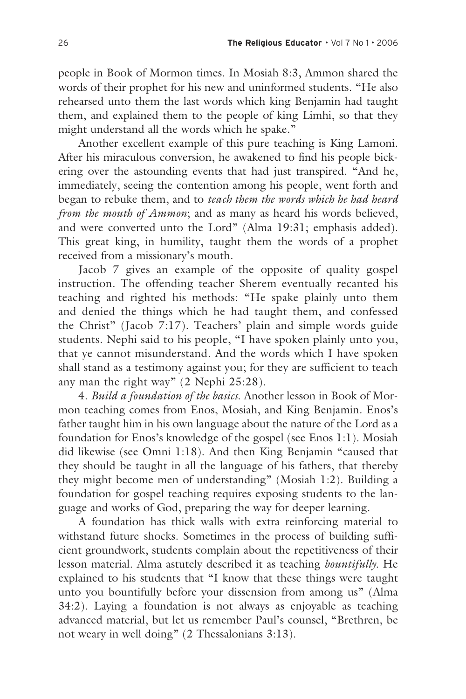people in Book of Mormon times. In Mosiah 8:3, Ammon shared the words of their prophet for his new and uninformed students. "He also rehearsed unto them the last words which king Benjamin had taught them, and explained them to the people of king Limhi, so that they might understand all the words which he spake."

 Another excellent example of this pure teaching is King Lamoni. After his miraculous conversion, he awakened to find his people bickering over the astounding events that had just transpired. "And he, immediately, seeing the contention among his people, went forth and began to rebuke them, and to *teach them the words which he had heard from the mouth of Ammon*; and as many as heard his words believed, and were converted unto the Lord" (Alma 19:31; emphasis added). This great king, in humility, taught them the words of a prophet received from a missionary's mouth.

 Jacob 7 gives an example of the opposite of quality gospel instruction. The offending teacher Sherem eventually recanted his teaching and righted his methods: "He spake plainly unto them and denied the things which he had taught them, and confessed the Christ" (Jacob 7:17). Teachers' plain and simple words guide students. Nephi said to his people, "I have spoken plainly unto you, that ye cannot misunderstand. And the words which I have spoken shall stand as a testimony against you; for they are sufficient to teach any man the right way" (2 Nephi 25:28).

 4. *Build a foundation of the basics*. Another lesson in Book of Mormon teaching comes from Enos, Mosiah, and King Benjamin. Enos's father taught him in his own language about the nature of the Lord as a foundation for Enos's knowledge of the gospel (see Enos 1:1). Mosiah did likewise (see Omni 1:18). And then King Benjamin "caused that they should be taught in all the language of his fathers, that thereby they might become men of understanding" (Mosiah 1:2). Building a foundation for gospel teaching requires exposing students to the language and works of God, preparing the way for deeper learning.

 A foundation has thick walls with extra reinforcing material to withstand future shocks. Sometimes in the process of building sufficient groundwork, students complain about the repetitiveness of their lesson material. Alma astutely described it as teaching *bountifully*. He explained to his students that "I know that these things were taught unto you bountifully before your dissension from among us" (Alma 34:2). Laying a foundation is not always as enjoyable as teaching advanced material, but let us remember Paul's counsel, "Brethren, be not weary in well doing" (2 Thessalonians 3:13).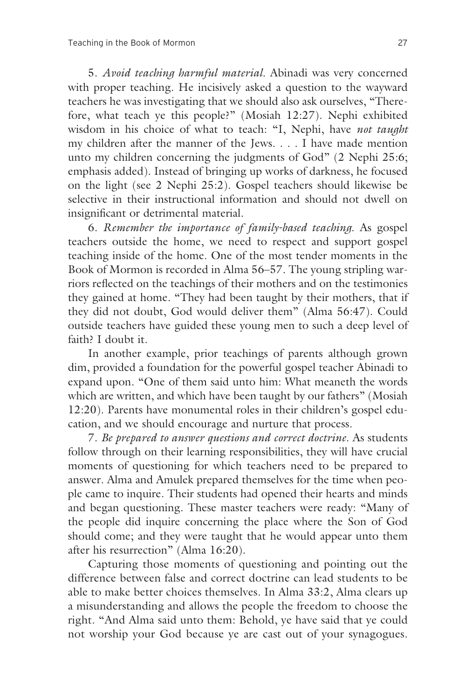5. *Avoid teaching harmful material*. Abinadi was very concerned with proper teaching. He incisively asked a question to the wayward teachers he was investigating that we should also ask ourselves, "Therefore, what teach ye this people?" (Mosiah 12:27). Nephi exhibited wisdom in his choice of what to teach: "I, Nephi, have *not taught* my children after the manner of the Jews. . . . I have made mention unto my children concerning the judgments of God" (2 Nephi 25:6; emphasis added). Instead of bringing up works of darkness, he focused on the light (see 2 Nephi 25:2). Gospel teachers should likewise be selective in their instructional information and should not dwell on insignificant or detrimental material.

 6. *Remember the importance of family-based teaching*. As gospel teachers outside the home, we need to respect and support gospel teaching inside of the home. One of the most tender moments in the Book of Mormon is recorded in Alma 56–57. The young stripling warriors reflected on the teachings of their mothers and on the testimonies they gained at home. "They had been taught by their mothers, that if they did not doubt, God would deliver them" (Alma 56:47). Could outside teachers have guided these young men to such a deep level of faith? I doubt it.

 In another example, prior teachings of parents although grown dim, provided a foundation for the powerful gospel teacher Abinadi to expand upon. "One of them said unto him: What meaneth the words which are written, and which have been taught by our fathers" (Mosiah 12:20). Parents have monumental roles in their children's gospel education, and we should encourage and nurture that process.

 7. *Be prepared to answer questions and correct doctrine*. As students follow through on their learning responsibilities, they will have crucial moments of questioning for which teachers need to be prepared to answer. Alma and Amulek prepared themselves for the time when people came to inquire. Their students had opened their hearts and minds and began questioning. These master teachers were ready: "Many of the people did inquire concerning the place where the Son of God should come; and they were taught that he would appear unto them after his resurrection" (Alma 16:20).

 Capturing those moments of questioning and pointing out the difference between false and correct doctrine can lead students to be able to make better choices themselves. In Alma 33:2, Alma clears up a misunderstanding and allows the people the freedom to choose the right. "And Alma said unto them: Behold, ye have said that ye could not worship your God because ye are cast out of your synagogues.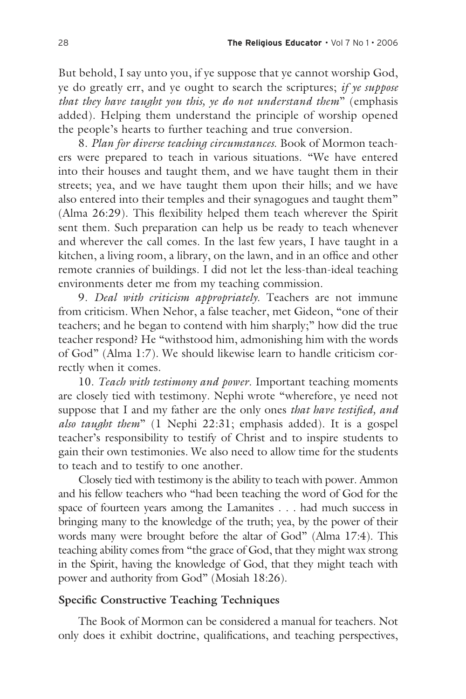But behold, I say unto you, if ye suppose that ye cannot worship God, ye do greatly err, and ye ought to search the scriptures; *if ye suppose that they have taught you this, ye do not understand them*" (emphasis added). Helping them understand the principle of worship opened the people's hearts to further teaching and true conversion.

 8. *Plan for diverse teaching circumstances*. Book of Mormon teachers were prepared to teach in various situations. "We have entered into their houses and taught them, and we have taught them in their streets; yea, and we have taught them upon their hills; and we have also entered into their temples and their synagogues and taught them" (Alma 26:29). This flexibility helped them teach wherever the Spirit sent them. Such preparation can help us be ready to teach whenever and wherever the call comes. In the last few years, I have taught in a kitchen, a living room, a library, on the lawn, and in an office and other remote crannies of buildings. I did not let the less-than-ideal teaching environments deter me from my teaching commission.

 9. *Deal with criticism appropriately*. Teachers are not immune from criticism. When Nehor, a false teacher, met Gideon, "one of their teachers; and he began to contend with him sharply;" how did the true teacher respond? He "withstood him, admonishing him with the words of God" (Alma 1:7). We should likewise learn to handle criticism correctly when it comes.

 10. *Teach with testimony and power*. Important teaching moments are closely tied with testimony. Nephi wrote "wherefore, ye need not suppose that I and my father are the only ones *that have testified, and also taught them*" (1 Nephi 22:31; emphasis added). It is a gospel teacher's responsibility to testify of Christ and to inspire students to gain their own testimonies. We also need to allow time for the students to teach and to testify to one another.

 Closely tied with testimony is the ability to teach with power. Ammon and his fellow teachers who "had been teaching the word of God for the space of fourteen years among the Lamanites . . . had much success in bringing many to the knowledge of the truth; yea, by the power of their words many were brought before the altar of God" (Alma 17:4). This teaching ability comes from "the grace of God, that they might wax strong in the Spirit, having the knowledge of God, that they might teach with power and authority from God" (Mosiah 18:26).

## **Specific Constructive Teaching Techniques**

 The Book of Mormon can be considered a manual for teachers. Not only does it exhibit doctrine, qualifications, and teaching perspectives,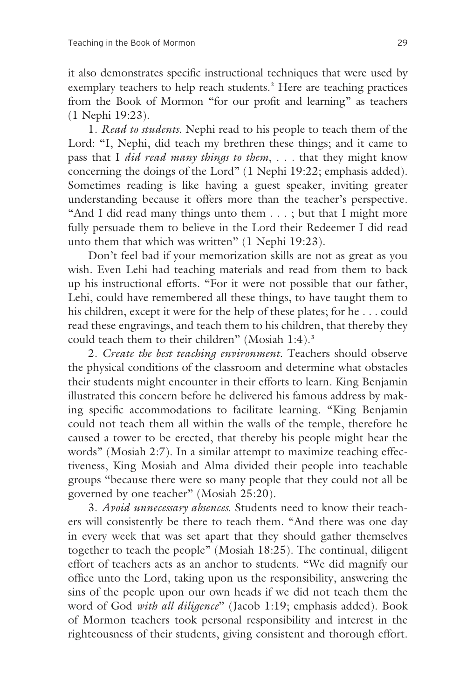it also demonstrates specific instructional techniques that were used by exemplary teachers to help reach students.**<sup>2</sup>** Here are teaching practices from the Book of Mormon "for our profit and learning" as teachers (1 Nephi 19:23).

 1. *Read to students*. Nephi read to his people to teach them of the Lord: "I, Nephi, did teach my brethren these things; and it came to pass that I *did read many things to them*, . . . that they might know concerning the doings of the Lord" (1 Nephi 19:22; emphasis added). Sometimes reading is like having a guest speaker, inviting greater understanding because it offers more than the teacher's perspective. "And I did read many things unto them . . . ; but that I might more fully persuade them to believe in the Lord their Redeemer I did read unto them that which was written" (1 Nephi 19:23).

 Don't feel bad if your memorization skills are not as great as you wish. Even Lehi had teaching materials and read from them to back up his instructional efforts. "For it were not possible that our father, Lehi, could have remembered all these things, to have taught them to his children, except it were for the help of these plates; for he . . . could read these engravings, and teach them to his children, that thereby they could teach them to their children" (Mosiah 1:4).**<sup>3</sup>**

 2. *Create the best teaching environment*. Teachers should observe the physical conditions of the classroom and determine what obstacles their students might encounter in their efforts to learn. King Benjamin illustrated this concern before he delivered his famous address by making specific accommodations to facilitate learning. "King Benjamin could not teach them all within the walls of the temple, therefore he caused a tower to be erected, that thereby his people might hear the words" (Mosiah 2:7). In a similar attempt to maximize teaching effectiveness, King Mosiah and Alma divided their people into teachable groups "because there were so many people that they could not all be governed by one teacher" (Mosiah 25:20).

 3. *Avoid unnecessary absences*. Students need to know their teachers will consistently be there to teach them. "And there was one day in every week that was set apart that they should gather themselves together to teach the people" (Mosiah 18:25). The continual, diligent effort of teachers acts as an anchor to students. "We did magnify our office unto the Lord, taking upon us the responsibility, answering the sins of the people upon our own heads if we did not teach them the word of God *with all diligence*" (Jacob 1:19; emphasis added). Book of Mormon teachers took personal responsibility and interest in the righteousness of their students, giving consistent and thorough effort.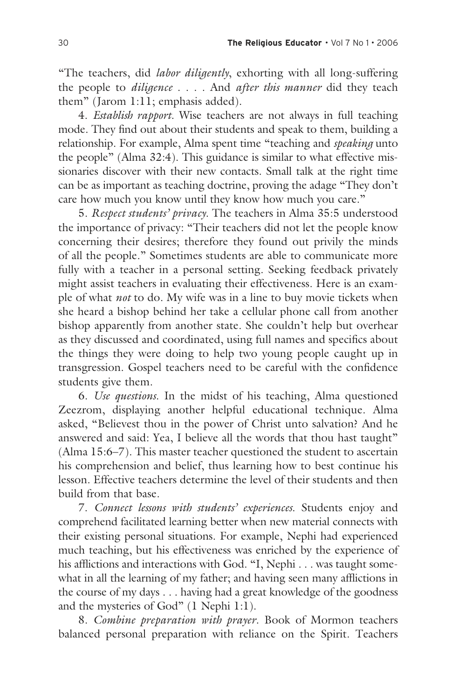"The teachers, did *labor diligently*, exhorting with all long-suffering the people to *diligence* . . . . And *after this manner* did they teach them" (Jarom 1:11; emphasis added).

 4. *Establish rapport*. Wise teachers are not always in full teaching mode. They find out about their students and speak to them, building a relationship. For example, Alma spent time "teaching and *speaking* unto the people" (Alma 32:4). This guidance is similar to what effective missionaries discover with their new contacts. Small talk at the right time can be as important as teaching doctrine, proving the adage "They don't care how much you know until they know how much you care."

 5. *Respect students' privacy*. The teachers in Alma 35:5 understood the importance of privacy: "Their teachers did not let the people know concerning their desires; therefore they found out privily the minds of all the people." Sometimes students are able to communicate more fully with a teacher in a personal setting. Seeking feedback privately might assist teachers in evaluating their effectiveness. Here is an example of what *not* to do. My wife was in a line to buy movie tickets when she heard a bishop behind her take a cellular phone call from another bishop apparently from another state. She couldn't help but overhear as they discussed and coordinated, using full names and specifics about the things they were doing to help two young people caught up in transgression. Gospel teachers need to be careful with the confidence students give them.

 6. *Use questions*. In the midst of his teaching, Alma questioned Zeezrom, displaying another helpful educational technique. Alma asked, "Believest thou in the power of Christ unto salvation? And he answered and said: Yea, I believe all the words that thou hast taught" (Alma 15:6–7). This master teacher questioned the student to ascertain his comprehension and belief, thus learning how to best continue his lesson. Effective teachers determine the level of their students and then build from that base.

 7. *Connect lessons with students' experiences*. Students enjoy and comprehend facilitated learning better when new material connects with their existing personal situations. For example, Nephi had experienced much teaching, but his effectiveness was enriched by the experience of his afflictions and interactions with God. "I, Nephi . . . was taught somewhat in all the learning of my father; and having seen many afflictions in the course of my days . . . having had a great knowledge of the goodness and the mysteries of God" (1 Nephi 1:1).

 8. *Combine preparation with prayer*. Book of Mormon teachers balanced personal preparation with reliance on the Spirit. Teachers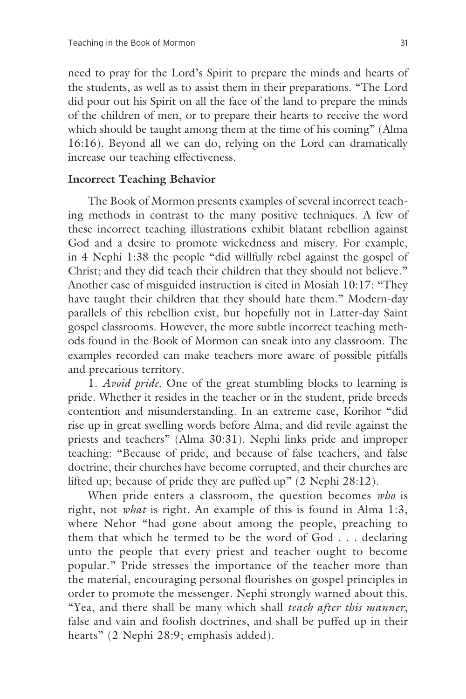need to pray for the Lord's Spirit to prepare the minds and hearts of the students, as well as to assist them in their preparations. "The Lord did pour out his Spirit on all the face of the land to prepare the minds of the children of men, or to prepare their hearts to receive the word which should be taught among them at the time of his coming" (Alma 16:16). Beyond all we can do, relying on the Lord can dramatically increase our teaching effectiveness.

#### **Incorrect Teaching Behavior**

 The Book of Mormon presents examples of several incorrect teaching methods in contrast to the many positive techniques. A few of these incorrect teaching illustrations exhibit blatant rebellion against God and a desire to promote wickedness and misery. For example, in 4 Nephi 1:38 the people "did willfully rebel against the gospel of Christ; and they did teach their children that they should not believe." Another case of misguided instruction is cited in Mosiah 10:17: "They have taught their children that they should hate them." Modern-day parallels of this rebellion exist, but hopefully not in Latter-day Saint gospel classrooms. However, the more subtle incorrect teaching methods found in the Book of Mormon can sneak into any classroom. The examples recorded can make teachers more aware of possible pitfalls and precarious territory.

 1. *Avoid pride*. One of the great stumbling blocks to learning is pride. Whether it resides in the teacher or in the student, pride breeds contention and misunderstanding. In an extreme case, Korihor "did rise up in great swelling words before Alma, and did revile against the priests and teachers" (Alma 30:31). Nephi links pride and improper teaching: "Because of pride, and because of false teachers, and false doctrine, their churches have become corrupted, and their churches are lifted up; because of pride they are puffed up" (2 Nephi 28:12).

 When pride enters a classroom, the question becomes *who* is right, not *what* is right. An example of this is found in Alma 1:3, where Nehor "had gone about among the people, preaching to them that which he termed to be the word of God . . . declaring unto the people that every priest and teacher ought to become popular." Pride stresses the importance of the teacher more than the material, encouraging personal flourishes on gospel principles in order to promote the messenger. Nephi strongly warned about this. "Yea, and there shall be many which shall *teach after this manner*, false and vain and foolish doctrines, and shall be puffed up in their hearts" (2 Nephi 28:9; emphasis added).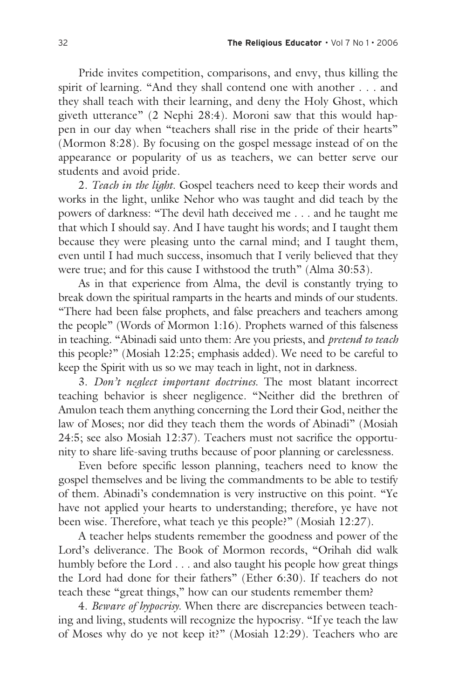Pride invites competition, comparisons, and envy, thus killing the spirit of learning. "And they shall contend one with another . . . and they shall teach with their learning, and deny the Holy Ghost, which giveth utterance" (2 Nephi 28:4). Moroni saw that this would happen in our day when "teachers shall rise in the pride of their hearts" (Mormon 8:28). By focusing on the gospel message instead of on the appearance or popularity of us as teachers, we can better serve our students and avoid pride.

 2. *Teach in the light*. Gospel teachers need to keep their words and works in the light, unlike Nehor who was taught and did teach by the powers of darkness: "The devil hath deceived me . . . and he taught me that which I should say. And I have taught his words; and I taught them because they were pleasing unto the carnal mind; and I taught them, even until I had much success, insomuch that I verily believed that they were true; and for this cause I withstood the truth" (Alma 30:53).

 As in that experience from Alma, the devil is constantly trying to break down the spiritual ramparts in the hearts and minds of our students. "There had been false prophets, and false preachers and teachers among the people" (Words of Mormon 1:16). Prophets warned of this falseness in teaching. "Abinadi said unto them: Are you priests, and *pretend to teach* this people?" (Mosiah 12:25; emphasis added). We need to be careful to keep the Spirit with us so we may teach in light, not in darkness.

 3. *Don't neglect important doctrines*. The most blatant incorrect teaching behavior is sheer negligence. "Neither did the brethren of Amulon teach them anything concerning the Lord their God, neither the law of Moses; nor did they teach them the words of Abinadi" (Mosiah 24:5; see also Mosiah 12:37). Teachers must not sacrifice the opportunity to share life-saving truths because of poor planning or carelessness.

 Even before specific lesson planning, teachers need to know the gospel themselves and be living the commandments to be able to testify of them. Abinadi's condemnation is very instructive on this point. "Ye have not applied your hearts to understanding; therefore, ye have not been wise. Therefore, what teach ye this people?" (Mosiah 12:27).

 A teacher helps students remember the goodness and power of the Lord's deliverance. The Book of Mormon records, "Orihah did walk humbly before the Lord . . . and also taught his people how great things the Lord had done for their fathers" (Ether 6:30). If teachers do not teach these "great things," how can our students remember them?

 4. *Beware of hypocrisy*. When there are discrepancies between teaching and living, students will recognize the hypocrisy. "If ye teach the law of Moses why do ye not keep it?" (Mosiah 12:29). Teachers who are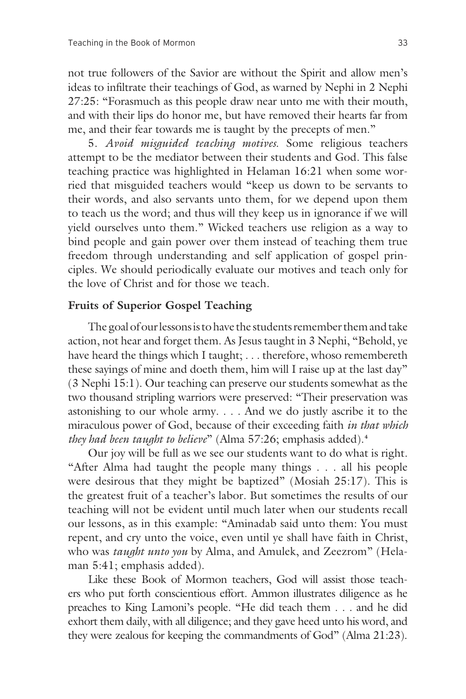not true followers of the Savior are without the Spirit and allow men's ideas to infiltrate their teachings of God, as warned by Nephi in 2 Nephi 27:25: "Forasmuch as this people draw near unto me with their mouth, and with their lips do honor me, but have removed their hearts far from me, and their fear towards me is taught by the precepts of men."

 5. *Avoid misguided teaching motives*. Some religious teachers attempt to be the mediator between their students and God. This false teaching practice was highlighted in Helaman 16:21 when some worried that misguided teachers would "keep us down to be servants to their words, and also servants unto them, for we depend upon them to teach us the word; and thus will they keep us in ignorance if we will yield ourselves unto them." Wicked teachers use religion as a way to bind people and gain power over them instead of teaching them true freedom through understanding and self application of gospel principles. We should periodically evaluate our motives and teach only for the love of Christ and for those we teach.

#### **Fruits of Superior Gospel Teaching**

 The goal of our lessons is to have the students remember them and take action, not hear and forget them. As Jesus taught in 3 Nephi, "Behold, ye have heard the things which I taught; . . . therefore, whoso remembereth these sayings of mine and doeth them, him will I raise up at the last day" (3 Nephi 15:1). Our teaching can preserve our students somewhat as the two thousand stripling warriors were preserved: "Their preservation was astonishing to our whole army. . . . And we do justly ascribe it to the miraculous power of God, because of their exceeding faith *in that which they had been taught to believe*" (Alma 57:26; emphasis added).**<sup>4</sup>**

 Our joy will be full as we see our students want to do what is right. "After Alma had taught the people many things . . . all his people were desirous that they might be baptized" (Mosiah 25:17). This is the greatest fruit of a teacher's labor. But sometimes the results of our teaching will not be evident until much later when our students recall our lessons, as in this example: "Aminadab said unto them: You must repent, and cry unto the voice, even until ye shall have faith in Christ, who was *taught unto you* by Alma, and Amulek, and Zeezrom" (Helaman 5:41; emphasis added).

 Like these Book of Mormon teachers, God will assist those teachers who put forth conscientious effort. Ammon illustrates diligence as he preaches to King Lamoni's people. "He did teach them . . . and he did exhort them daily, with all diligence; and they gave heed unto his word, and they were zealous for keeping the commandments of God" (Alma 21:23).